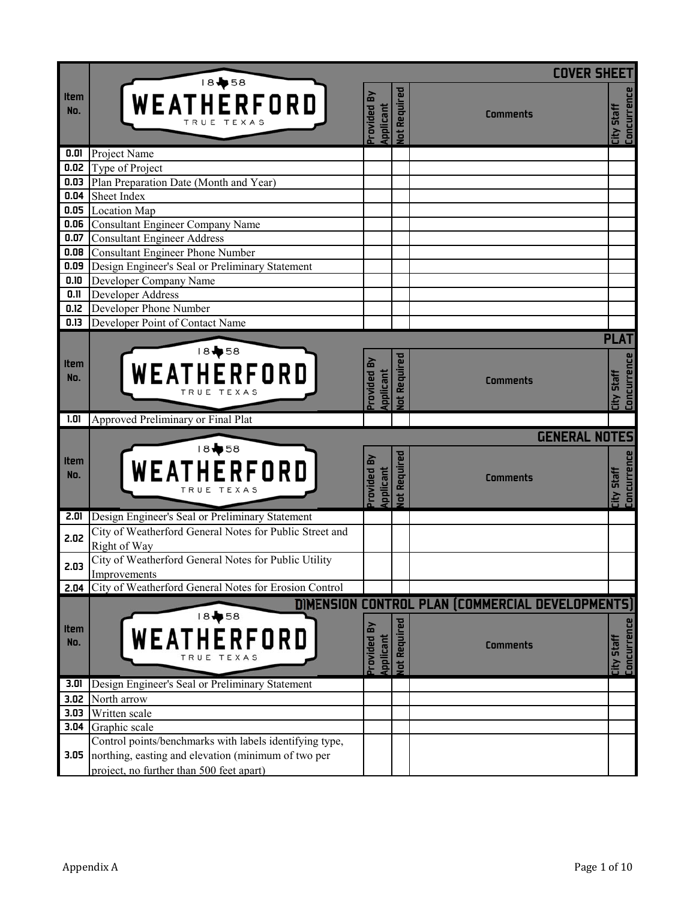|                            |                                                                       |                               |                | <b>COVER SHEET</b>                               |                                  |
|----------------------------|-----------------------------------------------------------------------|-------------------------------|----------------|--------------------------------------------------|----------------------------------|
| <b>Item</b><br>No.         | 18+58<br>WEATHERFORD                                                  | rovided By<br>Applicant       | lot Required   | <b>Comments</b>                                  | <b>Concurrence</b><br>City Staff |
| 0.01                       | Project Name                                                          |                               |                |                                                  |                                  |
| 0.02                       | Type of Project                                                       |                               |                |                                                  |                                  |
| 0.03                       | Plan Preparation Date (Month and Year)                                |                               |                |                                                  |                                  |
| 0.04                       | Sheet Index                                                           |                               |                |                                                  |                                  |
| 0.05                       | <b>Location Map</b>                                                   |                               |                |                                                  |                                  |
| 0.06                       | Consultant Engineer Company Name                                      |                               |                |                                                  |                                  |
| 0.07                       | <b>Consultant Engineer Address</b>                                    |                               |                |                                                  |                                  |
| 0.08                       | Consultant Engineer Phone Number                                      |                               |                |                                                  |                                  |
| 0.09                       | Design Engineer's Seal or Preliminary Statement                       |                               |                |                                                  |                                  |
| 0.10                       | Developer Company Name                                                |                               |                |                                                  |                                  |
| 0.11                       | Developer Address                                                     |                               |                |                                                  |                                  |
| 0.12                       | Developer Phone Number                                                |                               |                |                                                  |                                  |
| 0.13                       | Developer Point of Contact Name                                       |                               |                |                                                  |                                  |
|                            |                                                                       |                               |                |                                                  | <b>PLAT</b>                      |
| <b>Item</b><br>No.<br>1.01 | 18+58<br>WEATHERFORD<br>Approved Preliminary or Final Plat            | rovided By<br><b>uplicant</b> | lot Required   | <b>Comments</b>                                  | <b>Concurrence</b><br>City Staff |
|                            |                                                                       |                               |                |                                                  |                                  |
| Item<br>No.                | 18+58<br>WEATHERFORD                                                  | rovided By<br>pplicant        | lot Required   | <b>GENERAL NOTES</b><br><b>Comments</b>          | Concurrence<br><b>Lity Staff</b> |
| 2.01                       | Design Engineer's Seal or Preliminary Statement                       |                               |                |                                                  |                                  |
| 2.02                       | City of Weatherford General Notes for Public Street and               |                               |                |                                                  |                                  |
|                            | Right of Way                                                          |                               |                |                                                  |                                  |
| 2.03                       | City of Weatherford General Notes for Public Utility                  |                               |                |                                                  |                                  |
| 2.04                       | Improvements<br>City of Weatherford General Notes for Erosion Control |                               |                |                                                  |                                  |
|                            |                                                                       |                               |                |                                                  |                                  |
|                            | 18+58                                                                 |                               |                | DIMENSION CONTROL PLAN (COMMERCIAL DEVELOPMENTS) |                                  |
| <b>Item</b>                |                                                                       |                               |                |                                                  |                                  |
| No.                        | WEATHERFORD                                                           | rovided By                    | Required       | <b>Comments</b>                                  | Concurrence<br><b>Staff</b>      |
|                            | TEXA<br>RUE                                                           | pplicant                      |                |                                                  |                                  |
|                            |                                                                       |                               | $\overline{a}$ |                                                  | City                             |
| 3.01                       | Design Engineer's Seal or Preliminary Statement                       |                               |                |                                                  |                                  |
| 3.02                       | North arrow                                                           |                               |                |                                                  |                                  |
| 3.03                       | Written scale                                                         |                               |                |                                                  |                                  |
| 3.04                       | Graphic scale                                                         |                               |                |                                                  |                                  |
|                            | Control points/benchmarks with labels identifying type,               |                               |                |                                                  |                                  |
| 3.05                       | northing, easting and elevation (minimum of two per                   |                               |                |                                                  |                                  |
|                            | project, no further than 500 feet apart)                              |                               |                |                                                  |                                  |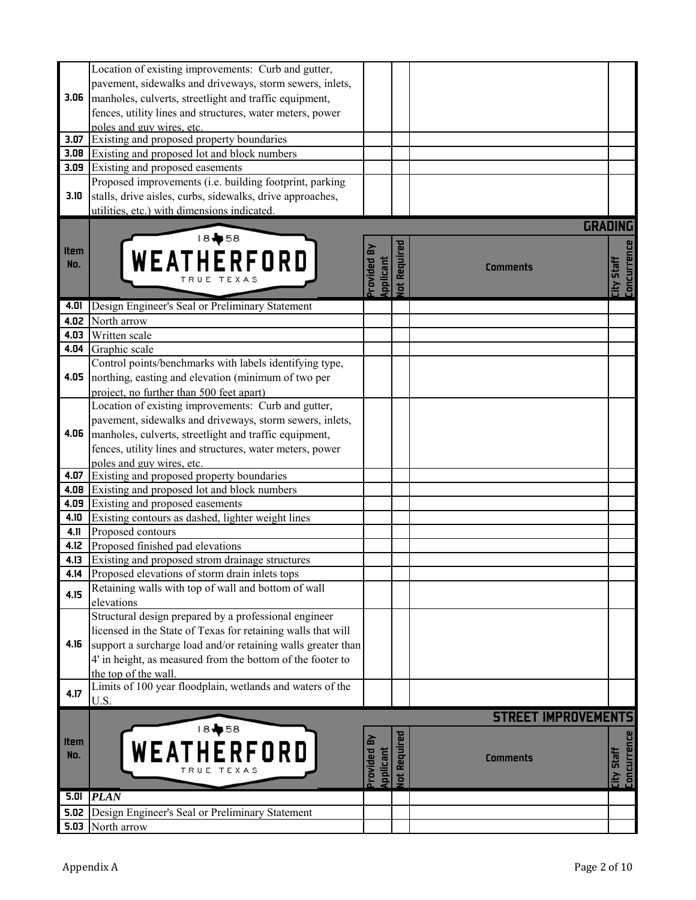|             | Location of existing improvements: Curb and gutter,          |                      |                |                            |                           |
|-------------|--------------------------------------------------------------|----------------------|----------------|----------------------------|---------------------------|
|             | pavement, sidewalks and driveways, storm sewers, inlets,     |                      |                |                            |                           |
| 3.06        | manholes, culverts, streetlight and traffic equipment,       |                      |                |                            |                           |
|             |                                                              |                      |                |                            |                           |
|             | fences, utility lines and structures, water meters, power    |                      |                |                            |                           |
|             | poles and guy wires, etc.                                    |                      |                |                            |                           |
| 3.07        | Existing and proposed property boundaries                    |                      |                |                            |                           |
| 3.08        | Existing and proposed lot and block numbers                  |                      |                |                            |                           |
| 3.09        | Existing and proposed easements                              |                      |                |                            |                           |
|             | Proposed improvements (i.e. building footprint, parking      |                      |                |                            |                           |
| 3.10        | stalls, drive aisles, curbs, sidewalks, drive approaches,    |                      |                |                            |                           |
|             | utilities, etc.) with dimensions indicated.                  |                      |                |                            |                           |
|             |                                                              |                      |                | <b>GRADING</b>             |                           |
|             | 18+58                                                        |                      |                |                            |                           |
| Item        | WEATHERFORD                                                  |                      | Required       |                            | Concurrence               |
| No.         |                                                              | rovided<br>pplicant  |                | <b>Comments</b>            | <b>City Staff</b>         |
|             |                                                              |                      | $\overline{t}$ |                            |                           |
|             |                                                              |                      |                |                            |                           |
| 4.01        | Design Engineer's Seal or Preliminary Statement              |                      |                |                            |                           |
| 4.02        | North arrow                                                  |                      |                |                            |                           |
| 4.03        | Written scale                                                |                      |                |                            |                           |
| 4.04        | Graphic scale                                                |                      |                |                            |                           |
|             | Control points/benchmarks with labels identifying type,      |                      |                |                            |                           |
| 4.05        | northing, easting and elevation (minimum of two per          |                      |                |                            |                           |
|             | project, no further than 500 feet apart)                     |                      |                |                            |                           |
|             | Location of existing improvements: Curb and gutter,          |                      |                |                            |                           |
|             | pavement, sidewalks and driveways, storm sewers, inlets,     |                      |                |                            |                           |
| 4.06        | manholes, culverts, streetlight and traffic equipment,       |                      |                |                            |                           |
|             | fences, utility lines and structures, water meters, power    |                      |                |                            |                           |
|             | poles and guy wires, etc.                                    |                      |                |                            |                           |
| 4.07        | Existing and proposed property boundaries                    |                      |                |                            |                           |
| 4.08        | Existing and proposed lot and block numbers                  |                      |                |                            |                           |
| 4.09        | Existing and proposed easements                              |                      |                |                            |                           |
| 4.10        | Existing contours as dashed, lighter weight lines            |                      |                |                            |                           |
| 4.11        | Proposed contours                                            |                      |                |                            |                           |
| 4.12        | Proposed finished pad elevations                             |                      |                |                            |                           |
| 4.13        | Existing and proposed strom drainage structures              |                      |                |                            |                           |
| 4.14        | Proposed elevations of storm drain inlets tops               |                      |                |                            |                           |
| 4.15        | Retaining walls with top of wall and bottom of wall          |                      |                |                            |                           |
|             | elevations                                                   |                      |                |                            |                           |
|             | Structural design prepared by a professional engineer        |                      |                |                            |                           |
|             | licensed in the State of Texas for retaining walls that will |                      |                |                            |                           |
| 4.16        | support a surcharge load and/or retaining walls greater than |                      |                |                            |                           |
|             | 4' in height, as measured from the bottom of the footer to   |                      |                |                            |                           |
|             | the top of the wall.                                         |                      |                |                            |                           |
| 4.17        | Limits of 100 year floodplain, wetlands and waters of the    |                      |                |                            |                           |
|             | U.S.                                                         |                      |                |                            |                           |
|             |                                                              |                      |                | <b>STREET IMPROVEMENTS</b> |                           |
|             | 18+58                                                        |                      |                |                            |                           |
| <b>Item</b> | WEATHERFORD                                                  |                      |                |                            |                           |
| No.         |                                                              |                      |                | <b>Comments</b>            |                           |
|             |                                                              | rovided<br>Applicant | ot Required    |                            | City Staff<br>Concurrence |
|             |                                                              |                      |                |                            |                           |
| 5.01        | <b>PLAN</b>                                                  |                      |                |                            |                           |
| 5.02        | Design Engineer's Seal or Preliminary Statement              |                      |                |                            |                           |
| 5.03        | North arrow                                                  |                      |                |                            |                           |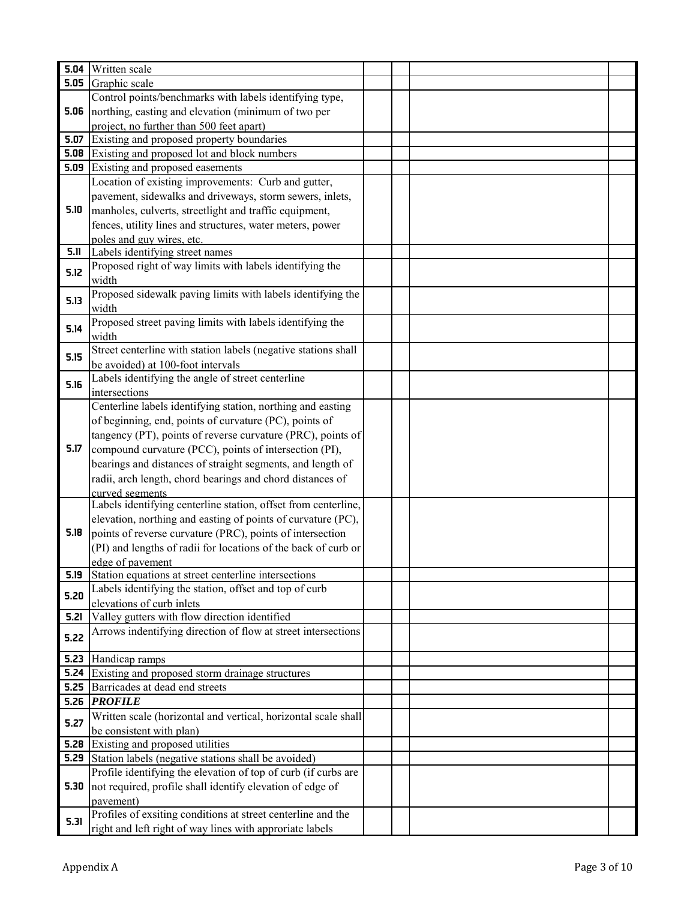|      | 5.04 Written scale                                                       |  |  |
|------|--------------------------------------------------------------------------|--|--|
| 5.05 | Graphic scale                                                            |  |  |
|      | Control points/benchmarks with labels identifying type,                  |  |  |
| 5.06 | northing, easting and elevation (minimum of two per                      |  |  |
|      | project, no further than 500 feet apart)                                 |  |  |
| 5.07 | Existing and proposed property boundaries                                |  |  |
|      | <b>5.08</b> Existing and proposed lot and block numbers                  |  |  |
|      | <b>5.09</b> Existing and proposed easements                              |  |  |
|      | Location of existing improvements: Curb and gutter,                      |  |  |
|      | pavement, sidewalks and driveways, storm sewers, inlets,                 |  |  |
| 5.10 | manholes, culverts, streetlight and traffic equipment,                   |  |  |
|      | fences, utility lines and structures, water meters, power                |  |  |
|      | poles and guy wires, etc.                                                |  |  |
| 5.11 | Labels identifying street names                                          |  |  |
| 5.12 | Proposed right of way limits with labels identifying the                 |  |  |
|      | width                                                                    |  |  |
| 5.13 | Proposed sidewalk paving limits with labels identifying the              |  |  |
|      | width                                                                    |  |  |
| 5.14 | Proposed street paving limits with labels identifying the                |  |  |
|      | width                                                                    |  |  |
| 5.15 | Street centerline with station labels (negative stations shall           |  |  |
|      | be avoided) at 100-foot intervals                                        |  |  |
| 5.16 | Labels identifying the angle of street centerline                        |  |  |
|      | intersections                                                            |  |  |
|      | Centerline labels identifying station, northing and easting              |  |  |
|      | of beginning, end, points of curvature (PC), points of                   |  |  |
|      | tangency (PT), points of reverse curvature (PRC), points of              |  |  |
| 5.17 | compound curvature (PCC), points of intersection (PI),                   |  |  |
|      | bearings and distances of straight segments, and length of               |  |  |
|      | radii, arch length, chord bearings and chord distances of                |  |  |
|      | curved segments                                                          |  |  |
|      | Labels identifying centerline station, offset from centerline,           |  |  |
|      | elevation, northing and easting of points of curvature (PC),             |  |  |
| 5.18 | points of reverse curvature (PRC), points of intersection                |  |  |
|      | (PI) and lengths of radii for locations of the back of curb or           |  |  |
| 5.19 | edge of pavement<br>Station equations at street centerline intersections |  |  |
|      | Labels identifying the station, offset and top of curb                   |  |  |
| 5.20 | elevations of curb inlets                                                |  |  |
| 5.21 | Valley gutters with flow direction identified                            |  |  |
|      | Arrows indentifying direction of flow at street intersections            |  |  |
| 5.22 |                                                                          |  |  |
| 5.23 | Handicap ramps                                                           |  |  |
|      | <b>5.24</b> Existing and proposed storm drainage structures              |  |  |
|      | <b>5.25</b> Barricades at dead end streets                               |  |  |
|      | 5.26 $PROFILE$                                                           |  |  |
|      | Written scale (horizontal and vertical, horizontal scale shall           |  |  |
| 5.27 | be consistent with plan)                                                 |  |  |
|      | <b>5.28</b> Existing and proposed utilities                              |  |  |
|      | <b>5.29</b> Station labels (negative stations shall be avoided)          |  |  |
|      | Profile identifying the elevation of top of curb (if curbs are           |  |  |
| 5.30 | not required, profile shall identify elevation of edge of                |  |  |
|      | pavement)                                                                |  |  |
|      | Profiles of exsiting conditions at street centerline and the             |  |  |
| 5.31 | right and left right of way lines with approriate labels                 |  |  |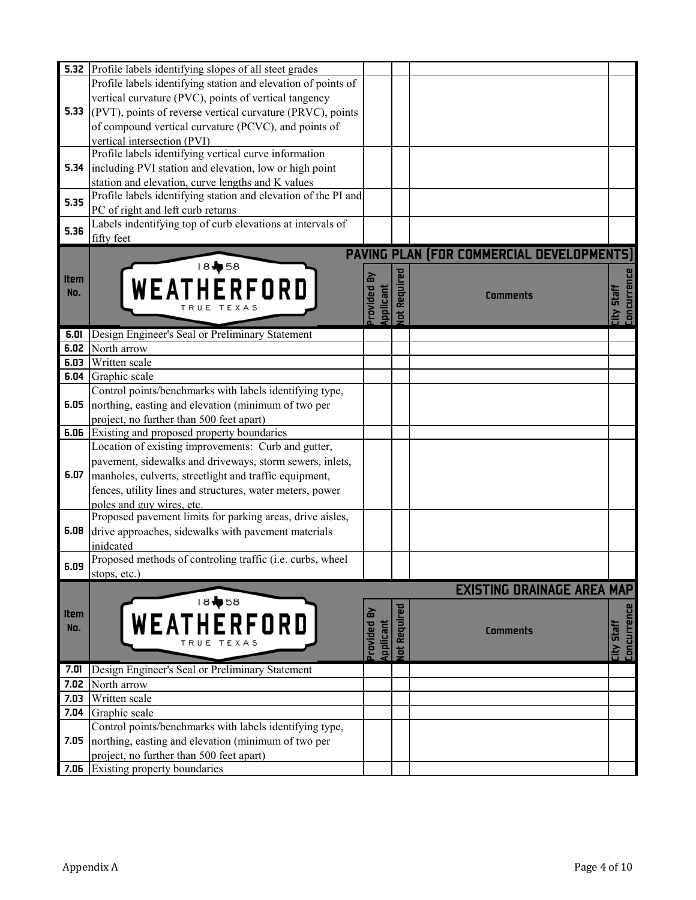|             | <b>5.32</b> Profile labels identifying slopes of all steet grades |                      |                |                                           |                    |
|-------------|-------------------------------------------------------------------|----------------------|----------------|-------------------------------------------|--------------------|
|             | Profile labels identifying station and elevation of points of     |                      |                |                                           |                    |
|             | vertical curvature (PVC), points of vertical tangency             |                      |                |                                           |                    |
| 5.33        | (PVT), points of reverse vertical curvature (PRVC), points        |                      |                |                                           |                    |
|             | of compound vertical curvature (PCVC), and points of              |                      |                |                                           |                    |
|             | vertical intersection (PVI)                                       |                      |                |                                           |                    |
|             | Profile labels identifying vertical curve information             |                      |                |                                           |                    |
| 5.34        | including PVI station and elevation, low or high point            |                      |                |                                           |                    |
|             | station and elevation, curve lengths and K values                 |                      |                |                                           |                    |
| 5.35        | Profile labels identifying station and elevation of the PI and    |                      |                |                                           |                    |
|             | PC of right and left curb returns                                 |                      |                |                                           |                    |
|             | Labels indentifying top of curb elevations at intervals of        |                      |                |                                           |                    |
| 5.36        | fifty feet                                                        |                      |                |                                           |                    |
|             |                                                                   |                      |                | PAVING PLAN (FOR COMMERCIAL DEVELOPMENTS) |                    |
|             | 18+58                                                             |                      |                |                                           |                    |
| <b>Item</b> |                                                                   | ᄝ                    | Required       |                                           | <b>Concurrence</b> |
| No.         | WEATHERFORD                                                       |                      |                | <b>Comments</b>                           |                    |
|             | TRUE TEXAS                                                        | rovided<br>Applicant |                |                                           | <b>City Staff</b>  |
|             |                                                                   |                      | $\overline{a}$ |                                           |                    |
| 6.01        | Design Engineer's Seal or Preliminary Statement                   |                      |                |                                           |                    |
| 6.02        | North arrow                                                       |                      |                |                                           |                    |
| 6.03        | Written scale                                                     |                      |                |                                           |                    |
| 6.04        | Graphic scale                                                     |                      |                |                                           |                    |
|             | Control points/benchmarks with labels identifying type,           |                      |                |                                           |                    |
| 6.05        | northing, easting and elevation (minimum of two per               |                      |                |                                           |                    |
|             | project, no further than 500 feet apart)                          |                      |                |                                           |                    |
| 6.06        | Existing and proposed property boundaries                         |                      |                |                                           |                    |
|             | Location of existing improvements: Curb and gutter,               |                      |                |                                           |                    |
|             | pavement, sidewalks and driveways, storm sewers, inlets,          |                      |                |                                           |                    |
| 6.07        | manholes, culverts, streetlight and traffic equipment,            |                      |                |                                           |                    |
|             | fences, utility lines and structures, water meters, power         |                      |                |                                           |                    |
|             | poles and guy wires, etc.                                         |                      |                |                                           |                    |
|             | Proposed pavement limits for parking areas, drive aisles,         |                      |                |                                           |                    |
| 6.08        | drive approaches, sidewalks with pavement materials               |                      |                |                                           |                    |
|             | inidcated                                                         |                      |                |                                           |                    |
|             | Proposed methods of controling traffic (i.e. curbs, wheel         |                      |                |                                           |                    |
| 6.09        | stops, etc.)                                                      |                      |                |                                           |                    |
|             |                                                                   |                      |                | <b>EXISTING DRAINAGE AREA MAP</b>         |                    |
|             | 18 \$58                                                           |                      |                |                                           |                    |
| <b>Item</b> |                                                                   |                      | ot Required    |                                           | <b>Concurrence</b> |
| No.         | WEATHERFORD                                                       |                      |                | <b>Comments</b>                           |                    |
|             |                                                                   | rovided<br>pplicant  |                |                                           | <b>City Staff</b>  |
|             |                                                                   |                      |                |                                           |                    |
| 7.01        | Design Engineer's Seal or Preliminary Statement                   |                      |                |                                           |                    |
| 7.02        | North arrow                                                       |                      |                |                                           |                    |
| 7.03        | Written scale                                                     |                      |                |                                           |                    |
| 7.04        | Graphic scale                                                     |                      |                |                                           |                    |
|             | Control points/benchmarks with labels identifying type,           |                      |                |                                           |                    |
| 7.05        | northing, easting and elevation (minimum of two per               |                      |                |                                           |                    |
|             | project, no further than 500 feet apart)                          |                      |                |                                           |                    |
| 7.06        | Existing property boundaries                                      |                      |                |                                           |                    |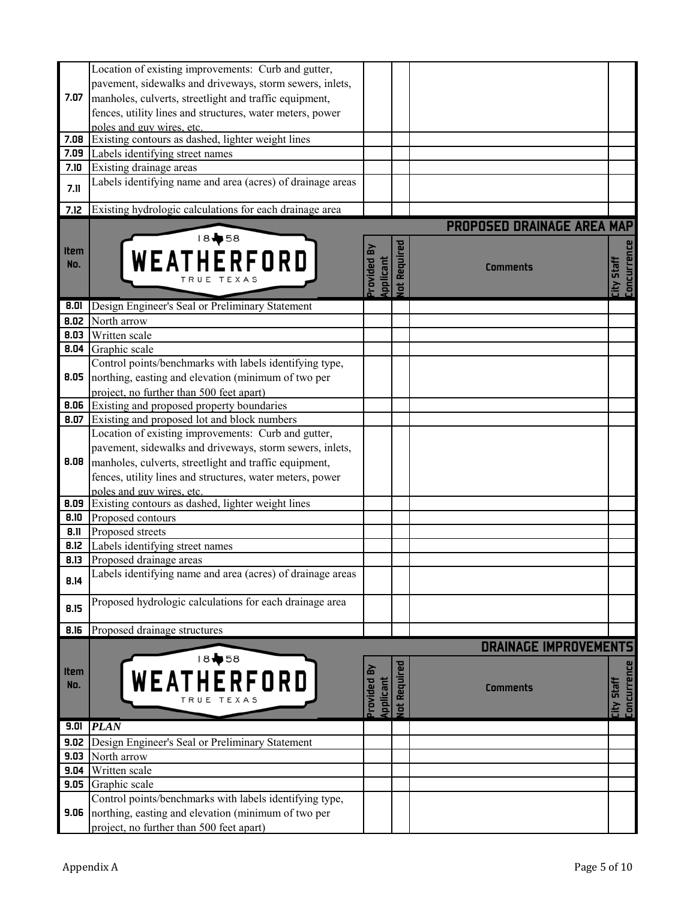|             | Location of existing improvements: Curb and gutter,        |                      |                     |                                   |                                         |
|-------------|------------------------------------------------------------|----------------------|---------------------|-----------------------------------|-----------------------------------------|
|             | pavement, sidewalks and driveways, storm sewers, inlets,   |                      |                     |                                   |                                         |
| 7.07        | manholes, culverts, streetlight and traffic equipment,     |                      |                     |                                   |                                         |
|             | fences, utility lines and structures, water meters, power  |                      |                     |                                   |                                         |
|             | poles and guy wires, etc.                                  |                      |                     |                                   |                                         |
| 7.08        | Existing contours as dashed, lighter weight lines          |                      |                     |                                   |                                         |
| 7.09        | Labels identifying street names                            |                      |                     |                                   |                                         |
| 7.10        | Existing drainage areas                                    |                      |                     |                                   |                                         |
| 7.11        | Labels identifying name and area (acres) of drainage areas |                      |                     |                                   |                                         |
|             |                                                            |                      |                     |                                   |                                         |
| 7.12        | Existing hydrologic calculations for each drainage area    |                      |                     |                                   |                                         |
|             |                                                            |                      |                     | <b>PROPOSED DRAINAGE AREA MAP</b> |                                         |
|             | 18→58                                                      |                      |                     |                                   |                                         |
| Item        |                                                            |                      |                     |                                   |                                         |
| No.         | WEATHERFORD                                                | pplicant<br>rovided  | ot Required         | <b>Comments</b>                   | <b>Concurrence</b><br><b>City Staff</b> |
|             | TRUE                                                       |                      |                     |                                   |                                         |
|             |                                                            |                      |                     |                                   |                                         |
| 8.01        | Design Engineer's Seal or Preliminary Statement            |                      |                     |                                   |                                         |
| 8.02        | North arrow                                                |                      |                     |                                   |                                         |
| 8.03        | Written scale                                              |                      |                     |                                   |                                         |
| 8.04        | Graphic scale                                              |                      |                     |                                   |                                         |
|             | Control points/benchmarks with labels identifying type,    |                      |                     |                                   |                                         |
| 8.05        | northing, easting and elevation (minimum of two per        |                      |                     |                                   |                                         |
|             | project, no further than 500 feet apart)                   |                      |                     |                                   |                                         |
| 8.06        | Existing and proposed property boundaries                  |                      |                     |                                   |                                         |
| 8.07        | Existing and proposed lot and block numbers                |                      |                     |                                   |                                         |
|             |                                                            |                      |                     |                                   |                                         |
|             | Location of existing improvements: Curb and gutter,        |                      |                     |                                   |                                         |
|             | pavement, sidewalks and driveways, storm sewers, inlets,   |                      |                     |                                   |                                         |
| 8.08        | manholes, culverts, streetlight and traffic equipment,     |                      |                     |                                   |                                         |
|             | fences, utility lines and structures, water meters, power  |                      |                     |                                   |                                         |
|             | poles and guy wires, etc.                                  |                      |                     |                                   |                                         |
| 8.09        | Existing contours as dashed, lighter weight lines          |                      |                     |                                   |                                         |
| 8.10        | Proposed contours                                          |                      |                     |                                   |                                         |
| 8.11        | Proposed streets                                           |                      |                     |                                   |                                         |
| 8.12        | Labels identifying street names                            |                      |                     |                                   |                                         |
| 8.13        | Proposed drainage areas                                    |                      |                     |                                   |                                         |
| 8.14        | Labels identifying name and area (acres) of drainage areas |                      |                     |                                   |                                         |
|             |                                                            |                      |                     |                                   |                                         |
| 8.15        | Proposed hydrologic calculations for each drainage area    |                      |                     |                                   |                                         |
|             |                                                            |                      |                     |                                   |                                         |
| 8.16        | Proposed drainage structures                               |                      |                     |                                   |                                         |
|             |                                                            |                      |                     | <b>DRAINAGE IMPROVEMENTS</b>      |                                         |
|             | 18+58                                                      |                      |                     |                                   |                                         |
| <b>Item</b> | WEATHERFORD                                                | ó                    |                     |                                   |                                         |
| No.         |                                                            |                      |                     | <b>Comments</b>                   |                                         |
|             |                                                            | rovided<br>Applicant | <b>Jot Required</b> |                                   | City Staff<br>Concurrence               |
|             |                                                            |                      |                     |                                   |                                         |
| 9.01        | <b>PLAN</b>                                                |                      |                     |                                   |                                         |
| 9.02        | Design Engineer's Seal or Preliminary Statement            |                      |                     |                                   |                                         |
| 9.03        | North arrow                                                |                      |                     |                                   |                                         |
| 9.04        | Written scale                                              |                      |                     |                                   |                                         |
| 9.05        | Graphic scale                                              |                      |                     |                                   |                                         |
|             | Control points/benchmarks with labels identifying type,    |                      |                     |                                   |                                         |
| 9.06        | northing, easting and elevation (minimum of two per        |                      |                     |                                   |                                         |
|             | project, no further than 500 feet apart)                   |                      |                     |                                   |                                         |
|             |                                                            |                      |                     |                                   |                                         |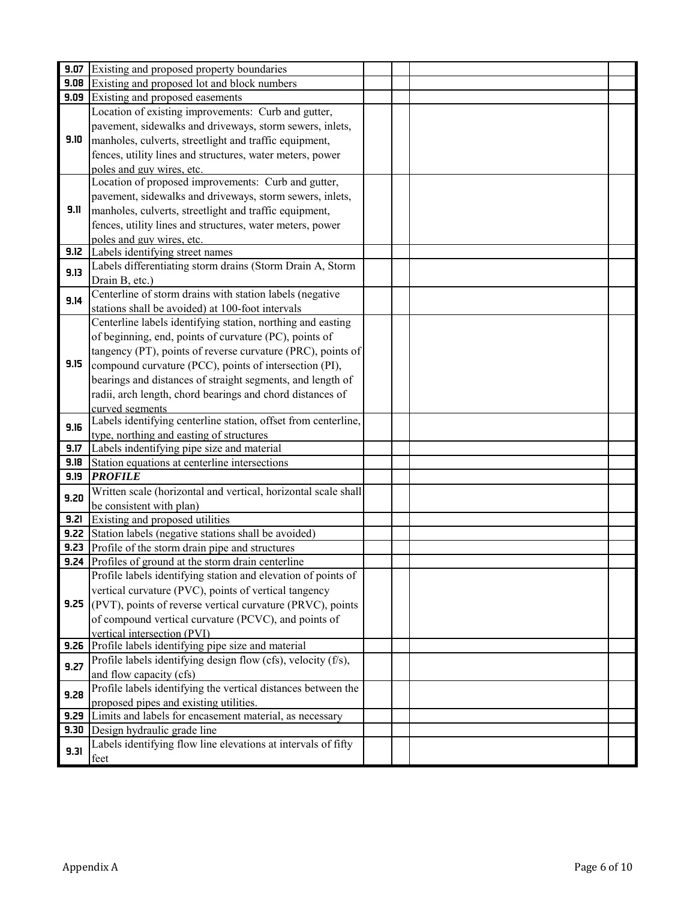| 9.07 | Existing and proposed property boundaries                                                                                  |  |  |
|------|----------------------------------------------------------------------------------------------------------------------------|--|--|
|      | <b>9.08</b> Existing and proposed lot and block numbers                                                                    |  |  |
| 9.09 | Existing and proposed easements                                                                                            |  |  |
|      | Location of existing improvements: Curb and gutter,                                                                        |  |  |
| 9.10 | pavement, sidewalks and driveways, storm sewers, inlets,                                                                   |  |  |
|      | manholes, culverts, streetlight and traffic equipment,                                                                     |  |  |
|      | fences, utility lines and structures, water meters, power                                                                  |  |  |
|      | poles and guy wires, etc.                                                                                                  |  |  |
|      | Location of proposed improvements: Curb and gutter,                                                                        |  |  |
| 9.11 | pavement, sidewalks and driveways, storm sewers, inlets,                                                                   |  |  |
|      | manholes, culverts, streetlight and traffic equipment,                                                                     |  |  |
|      | fences, utility lines and structures, water meters, power                                                                  |  |  |
| 9.12 | poles and guy wires, etc.<br>Labels identifying street names                                                               |  |  |
|      | Labels differentiating storm drains (Storm Drain A, Storm                                                                  |  |  |
| 9.13 |                                                                                                                            |  |  |
|      | Drain B, etc.)<br>Centerline of storm drains with station labels (negative                                                 |  |  |
| 9.14 |                                                                                                                            |  |  |
|      | stations shall be avoided) at 100-foot intervals<br>Centerline labels identifying station, northing and easting            |  |  |
|      |                                                                                                                            |  |  |
|      | of beginning, end, points of curvature (PC), points of                                                                     |  |  |
|      | tangency (PT), points of reverse curvature (PRC), points of                                                                |  |  |
| 9.15 | compound curvature (PCC), points of intersection (PI),                                                                     |  |  |
|      | bearings and distances of straight segments, and length of                                                                 |  |  |
|      | radii, arch length, chord bearings and chord distances of                                                                  |  |  |
|      | curved segments                                                                                                            |  |  |
| 9.16 | Labels identifying centerline station, offset from centerline,                                                             |  |  |
| 9.17 | type, northing and easting of structures                                                                                   |  |  |
| 9.18 | Labels indentifying pipe size and material<br>Station equations at centerline intersections                                |  |  |
| 9.19 | <b>PROFILE</b>                                                                                                             |  |  |
|      |                                                                                                                            |  |  |
| 9.20 | Written scale (horizontal and vertical, horizontal scale shall                                                             |  |  |
|      | be consistent with plan)                                                                                                   |  |  |
| 9.21 | Existing and proposed utilities                                                                                            |  |  |
|      | <b>9.22</b> Station labels (negative stations shall be avoided)                                                            |  |  |
|      | <b>9.23</b> Profile of the storm drain pipe and structures<br><b>9.24</b> Profiles of ground at the storm drain centerline |  |  |
|      |                                                                                                                            |  |  |
|      | Profile labels identifying station and elevation of points of                                                              |  |  |
| 9.25 | vertical curvature (PVC), points of vertical tangency                                                                      |  |  |
|      | (PVT), points of reverse vertical curvature (PRVC), points                                                                 |  |  |
|      | of compound vertical curvature (PCVC), and points of                                                                       |  |  |
| 9.26 | vertical intersection (PVI)                                                                                                |  |  |
|      | Profile labels identifying pipe size and material<br>Profile labels identifying design flow (cfs), velocity (f/s),         |  |  |
| 9.27 | and flow capacity (cfs)                                                                                                    |  |  |
|      | Profile labels identifying the vertical distances between the                                                              |  |  |
| 9.28 | proposed pipes and existing utilities.                                                                                     |  |  |
| 9.29 | Limits and labels for encasement material, as necessary                                                                    |  |  |
| 9.30 | Design hydraulic grade line                                                                                                |  |  |
|      | Labels identifying flow line elevations at intervals of fifty                                                              |  |  |
| 9.31 | feet                                                                                                                       |  |  |
|      |                                                                                                                            |  |  |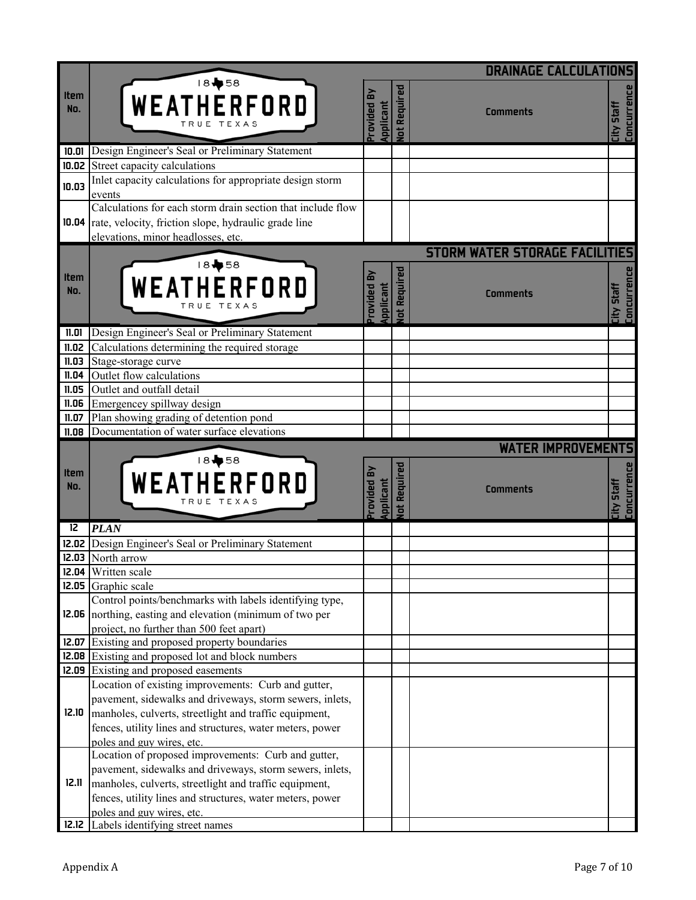|                    |                                                                                                                                                                 |                                  |                            | <b>DRAINAGE CALCULATIONS</b>                             |                                     |
|--------------------|-----------------------------------------------------------------------------------------------------------------------------------------------------------------|----------------------------------|----------------------------|----------------------------------------------------------|-------------------------------------|
| <b>Item</b><br>No. | 18+58<br>WEATHERFORD<br>TRUE TEXAS                                                                                                                              | óo<br>rovided<br><b>uplicant</b> | lot Required               | <b>Comments</b>                                          | Concurrence<br><b>City Staff</b>    |
| 10.01              | Design Engineer's Seal or Preliminary Statement                                                                                                                 |                                  |                            |                                                          |                                     |
|                    | 10.02 Street capacity calculations                                                                                                                              |                                  |                            |                                                          |                                     |
| 10.03              | Inlet capacity calculations for appropriate design storm                                                                                                        |                                  |                            |                                                          |                                     |
|                    | events                                                                                                                                                          |                                  |                            |                                                          |                                     |
|                    | Calculations for each storm drain section that include flow<br>10.04 rate, velocity, friction slope, hydraulic grade line<br>elevations, minor headlosses, etc. |                                  |                            |                                                          |                                     |
| <b>Item</b><br>No. | 18+58<br>WEATHERFORD                                                                                                                                            | rovided<br>pplicant              | Required<br>$\overline{t}$ | <b>STORM WATER STORAGE FACILITIES</b><br><b>Comments</b> | <b>Concurrence</b><br>City Staff    |
| 11.01              | Design Engineer's Seal or Preliminary Statement                                                                                                                 |                                  |                            |                                                          |                                     |
| 11.02              | Calculations determining the required storage                                                                                                                   |                                  |                            |                                                          |                                     |
| 11.03              | Stage-storage curve                                                                                                                                             |                                  |                            |                                                          |                                     |
| 11.04              | Outlet flow calculations                                                                                                                                        |                                  |                            |                                                          |                                     |
| 11.05              | Outlet and outfall detail                                                                                                                                       |                                  |                            |                                                          |                                     |
| 11.06              | Emergencey spillway design                                                                                                                                      |                                  |                            |                                                          |                                     |
| 11.07              | Plan showing grading of detention pond                                                                                                                          |                                  |                            |                                                          |                                     |
| 11.08              | Documentation of water surface elevations                                                                                                                       |                                  |                            | <b>WATER IMPROVEMENTS</b>                                |                                     |
| <b>Item</b><br>No. | 18+58<br>WEATHERFORD                                                                                                                                            | ovided By<br>pplicant            | Required<br>日              | <b>Comments</b>                                          | Concurrence<br><b>Staff</b><br>City |
| 12                 | <b>PLAN</b>                                                                                                                                                     |                                  |                            |                                                          |                                     |
| 12.02              | Design Engineer's Seal or Preliminary Statement                                                                                                                 |                                  |                            |                                                          |                                     |
|                    | 12.03 North arrow                                                                                                                                               |                                  |                            |                                                          |                                     |
|                    | 12.04 Written scale                                                                                                                                             |                                  |                            |                                                          |                                     |
|                    | 12.05 Graphic scale                                                                                                                                             |                                  |                            |                                                          |                                     |
|                    | Control points/benchmarks with labels identifying type,                                                                                                         |                                  |                            |                                                          |                                     |
| 12.06              | northing, easting and elevation (minimum of two per                                                                                                             |                                  |                            |                                                          |                                     |
|                    | project, no further than 500 feet apart)<br>12.07 Existing and proposed property boundaries                                                                     |                                  |                            |                                                          |                                     |
|                    | 12.08 Existing and proposed lot and block numbers                                                                                                               |                                  |                            |                                                          |                                     |
|                    | 12.09 Existing and proposed easements                                                                                                                           |                                  |                            |                                                          |                                     |
|                    | Location of existing improvements: Curb and gutter,                                                                                                             |                                  |                            |                                                          |                                     |
|                    | pavement, sidewalks and driveways, storm sewers, inlets,                                                                                                        |                                  |                            |                                                          |                                     |
| 12.10              | manholes, culverts, streetlight and traffic equipment,                                                                                                          |                                  |                            |                                                          |                                     |
|                    | fences, utility lines and structures, water meters, power                                                                                                       |                                  |                            |                                                          |                                     |
|                    | poles and guy wires, etc.                                                                                                                                       |                                  |                            |                                                          |                                     |
|                    | Location of proposed improvements: Curb and gutter,                                                                                                             |                                  |                            |                                                          |                                     |
|                    | pavement, sidewalks and driveways, storm sewers, inlets,                                                                                                        |                                  |                            |                                                          |                                     |
| 12.11              | manholes, culverts, streetlight and traffic equipment,                                                                                                          |                                  |                            |                                                          |                                     |
|                    | fences, utility lines and structures, water meters, power                                                                                                       |                                  |                            |                                                          |                                     |
|                    | poles and guy wires, etc.                                                                                                                                       |                                  |                            |                                                          |                                     |
| 12.12              | Labels identifying street names                                                                                                                                 |                                  |                            |                                                          |                                     |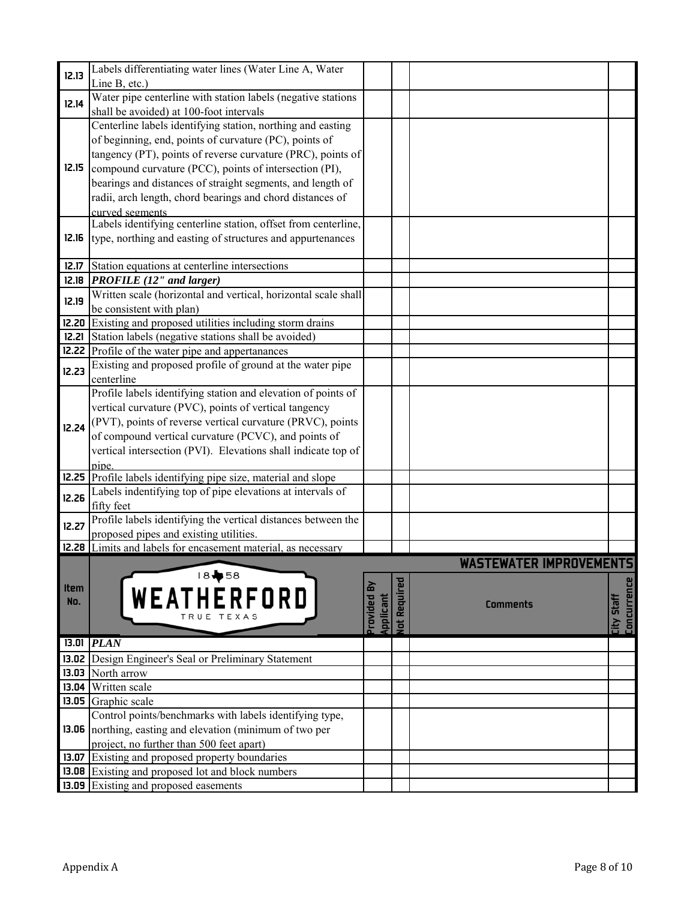| 12.13       | Labels differentiating water lines (Water Line A, Water          |                        |              |                                |                    |
|-------------|------------------------------------------------------------------|------------------------|--------------|--------------------------------|--------------------|
|             | Line B, etc.)                                                    |                        |              |                                |                    |
| 12.14       | Water pipe centerline with station labels (negative stations     |                        |              |                                |                    |
|             | shall be avoided) at 100-foot intervals                          |                        |              |                                |                    |
|             | Centerline labels identifying station, northing and easting      |                        |              |                                |                    |
|             | of beginning, end, points of curvature (PC), points of           |                        |              |                                |                    |
|             | tangency (PT), points of reverse curvature (PRC), points of      |                        |              |                                |                    |
| 12.15       | compound curvature (PCC), points of intersection (PI),           |                        |              |                                |                    |
|             | bearings and distances of straight segments, and length of       |                        |              |                                |                    |
|             | radii, arch length, chord bearings and chord distances of        |                        |              |                                |                    |
|             | curved segments                                                  |                        |              |                                |                    |
|             | Labels identifying centerline station, offset from centerline,   |                        |              |                                |                    |
| 12.16       | type, northing and easting of structures and appurtenances       |                        |              |                                |                    |
|             |                                                                  |                        |              |                                |                    |
| 12.17       | Station equations at centerline intersections                    |                        |              |                                |                    |
|             | $12.18$ PROFILE (12" and larger)                                 |                        |              |                                |                    |
|             | Written scale (horizontal and vertical, horizontal scale shall   |                        |              |                                |                    |
| 12.19       | be consistent with plan)                                         |                        |              |                                |                    |
|             | 12.20 Existing and proposed utilities including storm drains     |                        |              |                                |                    |
|             | <b>12.21</b> Station labels (negative stations shall be avoided) |                        |              |                                |                    |
|             | <b>12.22</b> Profile of the water pipe and appertanances         |                        |              |                                |                    |
|             | Existing and proposed profile of ground at the water pipe        |                        |              |                                |                    |
| 12.23       | centerline                                                       |                        |              |                                |                    |
|             | Profile labels identifying station and elevation of points of    |                        |              |                                |                    |
|             | vertical curvature (PVC), points of vertical tangency            |                        |              |                                |                    |
|             | (PVT), points of reverse vertical curvature (PRVC), points       |                        |              |                                |                    |
| 12.24       | of compound vertical curvature (PCVC), and points of             |                        |              |                                |                    |
|             | vertical intersection (PVI). Elevations shall indicate top of    |                        |              |                                |                    |
|             | pipe.                                                            |                        |              |                                |                    |
|             | 12.25 Profile labels identifying pipe size, material and slope   |                        |              |                                |                    |
|             | Labels indentifying top of pipe elevations at intervals of       |                        |              |                                |                    |
| 12.26       | fifty feet                                                       |                        |              |                                |                    |
|             | Profile labels identifying the vertical distances between the    |                        |              |                                |                    |
| 12.27       | proposed pipes and existing utilities.                           |                        |              |                                |                    |
|             | 12.28 Limits and labels for encasement material, as necessary    |                        |              |                                |                    |
|             |                                                                  |                        |              | <b>WASTEWATER IMPROVEMENTS</b> |                    |
|             | 18+58                                                            |                        |              |                                |                    |
| <b>Item</b> |                                                                  |                        |              |                                |                    |
| No.         | WEATHERFORD                                                      |                        |              | <b>Comments</b>                | <b>Staff</b>       |
|             |                                                                  | rovided By<br>pplicant | lot Required |                                | <b>Concurrence</b> |
|             |                                                                  |                        |              |                                | City               |
|             | $13.01$ $PLAN$                                                   |                        |              |                                |                    |
| 13.02       | Design Engineer's Seal or Preliminary Statement                  |                        |              |                                |                    |
|             | 13.03 North arrow                                                |                        |              |                                |                    |
|             | 13.04 Written scale                                              |                        |              |                                |                    |
|             | 13.05 Graphic scale                                              |                        |              |                                |                    |
|             | Control points/benchmarks with labels identifying type,          |                        |              |                                |                    |
|             | 13.06 northing, easting and elevation (minimum of two per        |                        |              |                                |                    |
|             | project, no further than 500 feet apart)                         |                        |              |                                |                    |
|             | 13.07 Existing and proposed property boundaries                  |                        |              |                                |                    |
|             | 13.08 Existing and proposed lot and block numbers                |                        |              |                                |                    |
|             | 13.09 Existing and proposed easements                            |                        |              |                                |                    |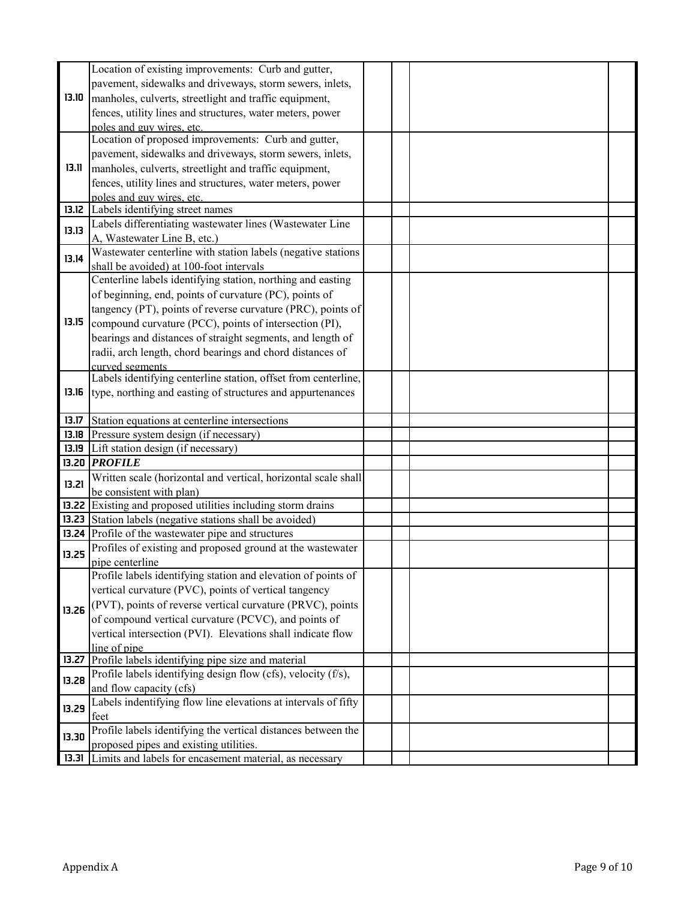|       | Location of existing improvements: Curb and gutter,                                                     |  |  |
|-------|---------------------------------------------------------------------------------------------------------|--|--|
|       | pavement, sidewalks and driveways, storm sewers, inlets,                                                |  |  |
| 13.10 | manholes, culverts, streetlight and traffic equipment,                                                  |  |  |
|       | fences, utility lines and structures, water meters, power                                               |  |  |
|       | poles and guy wires, etc.                                                                               |  |  |
|       | Location of proposed improvements: Curb and gutter,                                                     |  |  |
|       | pavement, sidewalks and driveways, storm sewers, inlets,                                                |  |  |
| 13.11 | manholes, culverts, streetlight and traffic equipment,                                                  |  |  |
|       | fences, utility lines and structures, water meters, power                                               |  |  |
|       | poles and guy wires, etc.                                                                               |  |  |
| 13.12 | Labels identifying street names                                                                         |  |  |
| 13.13 | Labels differentiating wastewater lines (Wastewater Line                                                |  |  |
|       | A, Wastewater Line B, etc.)                                                                             |  |  |
| 13.14 | Wastewater centerline with station labels (negative stations                                            |  |  |
|       | shall be avoided) at 100-foot intervals                                                                 |  |  |
|       | Centerline labels identifying station, northing and easting                                             |  |  |
|       | of beginning, end, points of curvature (PC), points of                                                  |  |  |
|       | tangency (PT), points of reverse curvature (PRC), points of                                             |  |  |
| 13.15 | compound curvature (PCC), points of intersection (PI),                                                  |  |  |
|       | bearings and distances of straight segments, and length of                                              |  |  |
|       | radii, arch length, chord bearings and chord distances of                                               |  |  |
|       | curved segments                                                                                         |  |  |
|       | Labels identifying centerline station, offset from centerline,                                          |  |  |
| 13.16 | type, northing and easting of structures and appurtenances                                              |  |  |
|       |                                                                                                         |  |  |
| 13.17 | Station equations at centerline intersections                                                           |  |  |
| 13.18 | Pressure system design (if necessary)                                                                   |  |  |
|       |                                                                                                         |  |  |
| 13.19 | Lift station design (if necessary)                                                                      |  |  |
|       | 13.20 <i>PROFILE</i>                                                                                    |  |  |
|       | Written scale (horizontal and vertical, horizontal scale shall                                          |  |  |
| 13.21 | be consistent with plan)                                                                                |  |  |
|       | 13.22 Existing and proposed utilities including storm drains                                            |  |  |
|       | 13.23 Station labels (negative stations shall be avoided)                                               |  |  |
|       | 13.24 Profile of the wastewater pipe and structures                                                     |  |  |
|       | Profiles of existing and proposed ground at the wastewater                                              |  |  |
| 13.25 | pipe centerline                                                                                         |  |  |
|       | Profile labels identifying station and elevation of points of                                           |  |  |
|       | vertical curvature (PVC), points of vertical tangency                                                   |  |  |
|       | (PVT), points of reverse vertical curvature (PRVC), points                                              |  |  |
| 13.26 | of compound vertical curvature (PCVC), and points of                                                    |  |  |
|       | vertical intersection (PVI). Elevations shall indicate flow                                             |  |  |
|       | line of pipe                                                                                            |  |  |
| 13.27 | Profile labels identifying pipe size and material                                                       |  |  |
| 13.28 | Profile labels identifying design flow (cfs), velocity (f/s),                                           |  |  |
|       | and flow capacity (cfs)                                                                                 |  |  |
| 13.29 | Labels indentifying flow line elevations at intervals of fifty                                          |  |  |
|       | feet                                                                                                    |  |  |
| 13.30 | Profile labels identifying the vertical distances between the                                           |  |  |
|       | proposed pipes and existing utilities.<br>13.31 Limits and labels for encasement material, as necessary |  |  |